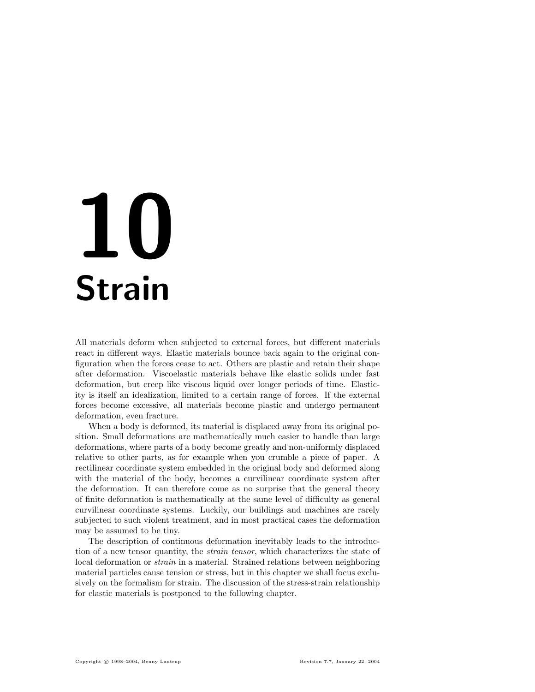# 10 Strain

All materials deform when subjected to external forces, but different materials react in different ways. Elastic materials bounce back again to the original configuration when the forces cease to act. Others are plastic and retain their shape after deformation. Viscoelastic materials behave like elastic solids under fast deformation, but creep like viscous liquid over longer periods of time. Elasticity is itself an idealization, limited to a certain range of forces. If the external forces become excessive, all materials become plastic and undergo permanent deformation, even fracture.

When a body is deformed, its material is displaced away from its original position. Small deformations are mathematically much easier to handle than large deformations, where parts of a body become greatly and non-uniformly displaced relative to other parts, as for example when you crumble a piece of paper. A rectilinear coordinate system embedded in the original body and deformed along with the material of the body, becomes a curvilinear coordinate system after the deformation. It can therefore come as no surprise that the general theory of finite deformation is mathematically at the same level of difficulty as general curvilinear coordinate systems. Luckily, our buildings and machines are rarely subjected to such violent treatment, and in most practical cases the deformation may be assumed to be tiny.

The description of continuous deformation inevitably leads to the introduction of a new tensor quantity, the strain tensor, which characterizes the state of local deformation or strain in a material. Strained relations between neighboring material particles cause tension or stress, but in this chapter we shall focus exclusively on the formalism for strain. The discussion of the stress-strain relationship for elastic materials is postponed to the following chapter.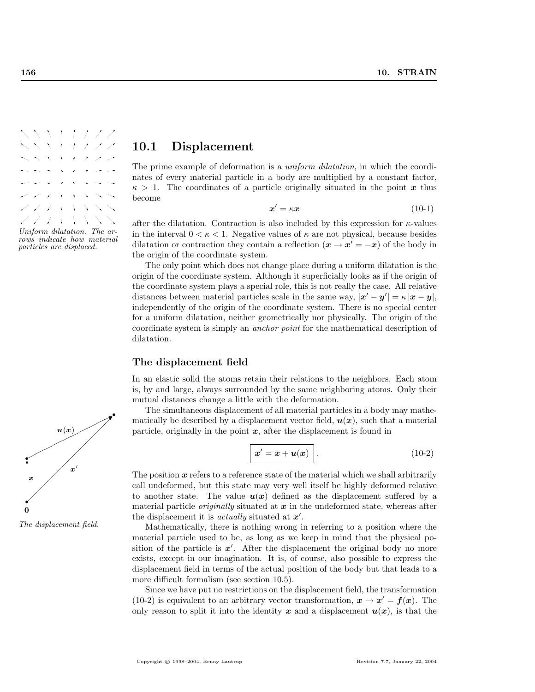

# 10.1 Displacement

The prime example of deformation is a *uniform dilatation*, in which the coordinates of every material particle in a body are multiplied by a constant factor,  $\kappa > 1$ . The coordinates of a particle originally situated in the point x thus become

$$
x' = \kappa x \tag{10-1}
$$

after the dilatation. Contraction is also included by this expression for  $\kappa$ -values in the interval  $0 < \kappa < 1$ . Negative values of  $\kappa$  are not physical, because besides dilatation or contraction they contain a reflection  $(\mathbf{x} \to \mathbf{x}' = -\mathbf{x})$  of the body in the origin of the coordinate system.

The only point which does not change place during a uniform dilatation is the origin of the coordinate system. Although it superficially looks as if the origin of the coordinate system plays a special role, this is not really the case. All relative distances between material particles scale in the same way,  $|\mathbf{x}' - \mathbf{y}'| = \kappa |\mathbf{x} - \mathbf{y}|$ , independently of the origin of the coordinate system. There is no special center for a uniform dilatation, neither geometrically nor physically. The origin of the coordinate system is simply an anchor point for the mathematical description of dilatation.

## The displacement field

In an elastic solid the atoms retain their relations to the neighbors. Each atom is, by and large, always surrounded by the same neighboring atoms. Only their mutual distances change a little with the deformation.

The simultaneous displacement of all material particles in a body may mathematically be described by a displacement vector field,  $u(x)$ , such that a material particle, originally in the point  $x$ , after the displacement is found in

$$
\boxed{x'=x+u(x)}\tag{10-2}
$$

The position  $x$  refers to a reference state of the material which we shall arbitrarily call undeformed, but this state may very well itself be highly deformed relative to another state. The value  $u(x)$  defined as the displacement suffered by a material particle *originally* situated at  $x$  in the undeformed state, whereas after the displacement it is *actually* situated at  $x'$ .

The displacement field. Mathematically, there is nothing wrong in referring to a position where the material particle used to be, as long as we keep in mind that the physical position of the particle is  $x'$ . After the displacement the original body no more exists, except in our imagination. It is, of course, also possible to express the displacement field in terms of the actual position of the body but that leads to a more difficult formalism (see section 10.5).

> Since we have put no restrictions on the displacement field, the transformation (10-2) is equivalent to an arbitrary vector transformation,  $x \to x' = f(x)$ . The only reason to split it into the identity x and a displacement  $u(x)$ , is that the

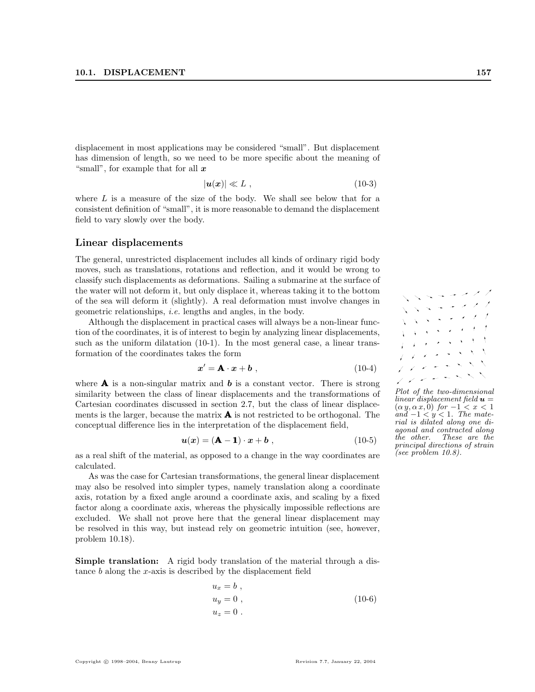displacement in most applications may be considered "small". But displacement has dimension of length, so we need to be more specific about the meaning of "small", for example that for all  $x$ 

$$
|\mathbf{u}(\mathbf{x})| \ll L \tag{10-3}
$$

where  $L$  is a measure of the size of the body. We shall see below that for a consistent definition of "small", it is more reasonable to demand the displacement field to vary slowly over the body.

#### Linear displacements

The general, unrestricted displacement includes all kinds of ordinary rigid body moves, such as translations, rotations and reflection, and it would be wrong to classify such displacements as deformations. Sailing a submarine at the surface of the water will not deform it, but only displace it, whereas taking it to the bottom of the sea will deform it (slightly). A real deformation must involve changes in geometric relationships, i.e. lengths and angles, in the body.

Although the displacement in practical cases will always be a non-linear function of the coordinates, it is of interest to begin by analyzing linear displacements, such as the uniform dilatation (10-1). In the most general case, a linear transformation of the coordinates takes the form

$$
x' = \mathbf{A} \cdot x + b \tag{10-4}
$$

where  $\bf{A}$  is a non-singular matrix and  $\bf{b}$  is a constant vector. There is strong similarity between the class of linear displacements and the transformations of Cartesian coordinates discussed in section 2.7, but the class of linear displacements is the larger, because the matrix  $\bf{A}$  is not restricted to be orthogonal. The conceptual difference lies in the interpretation of the displacement field,

$$
u(x) = (\mathbf{A} - \mathbf{1}) \cdot x + b \tag{10-5}
$$

as a real shift of the material, as opposed to a change in the way coordinates are calculated.

As was the case for Cartesian transformations, the general linear displacement may also be resolved into simpler types, namely translation along a coordinate axis, rotation by a fixed angle around a coordinate axis, and scaling by a fixed factor along a coordinate axis, whereas the physically impossible reflections are excluded. We shall not prove here that the general linear displacement may be resolved in this way, but instead rely on geometric intuition (see, however, problem 10.18).

Simple translation: A rigid body translation of the material through a distance  $b$  along the  $x$ -axis is described by the displacement field

$$
u_x = b,
$$
  
\n
$$
u_y = 0,
$$
  
\n
$$
u_z = 0.
$$
\n(10-6)



Plot of the two-dimensional linear displacement field  $\mathbf{u} =$  $(\alpha y, \alpha x, 0)$  for  $-1 < x < 1$ and  $-1 < y < 1$ . The material is dilated along one diagonal and contracted along the other. These are the principal directions of strain (see problem 10.8).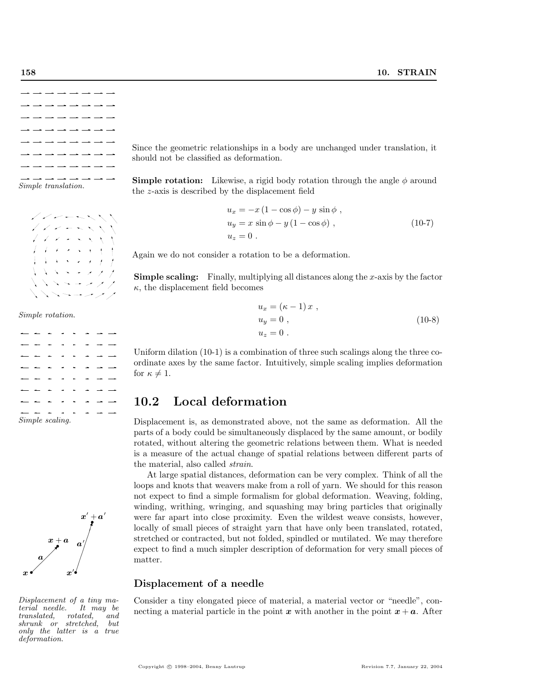



Simple rotation.

|  |                            |  |  | — — — — — — — —   |
|--|----------------------------|--|--|-------------------|
|  | — — — — — — <del>— —</del> |  |  |                   |
|  | - - - - - - - - -          |  |  |                   |
|  | --------                   |  |  |                   |
|  | — — — — — — <del>— —</del> |  |  |                   |
|  | $\frac{1}{2}$              |  |  |                   |
|  | $\alpha$ $\alpha$ $\alpha$ |  |  | - - - - - - - - - |

Simple scaling.



Displacement of a tiny material needle. It may be translated, rotated, and<br>shrunk or stretched but  $shrunk$  or stretched. only the latter is a true deformation.

Since the geometric relationships in a body are unchanged under translation, it should not be classified as deformation.

**Simple rotation:** Likewise, a rigid body rotation through the angle  $\phi$  around the z-axis is described by the displacement field

$$
u_x = -x(1 - \cos \phi) - y \sin \phi,
$$
  
\n
$$
u_y = x \sin \phi - y(1 - \cos \phi),
$$
  
\n
$$
u_z = 0.
$$
\n(10-7)

Again we do not consider a rotation to be a deformation.

**Simple scaling:** Finally, multiplying all distances along the x-axis by the factor  $\kappa$ , the displacement field becomes

$$
u_x = (\kappa - 1) x ,
$$
  
\n
$$
u_y = 0 ,
$$
  
\n
$$
u_z = 0 .
$$
\n(10-8)

Uniform dilation (10-1) is a combination of three such scalings along the three coordinate axes by the same factor. Intuitively, simple scaling implies deformation for  $\kappa \neq 1$ .

## 10.2 Local deformation

Displacement is, as demonstrated above, not the same as deformation. All the parts of a body could be simultaneously displaced by the same amount, or bodily rotated, without altering the geometric relations between them. What is needed is a measure of the actual change of spatial relations between different parts of the material, also called strain.

At large spatial distances, deformation can be very complex. Think of all the loops and knots that weavers make from a roll of yarn. We should for this reason not expect to find a simple formalism for global deformation. Weaving, folding, winding, writhing, wringing, and squashing may bring particles that originally were far apart into close proximity. Even the wildest weave consists, however, locally of small pieces of straight yarn that have only been translated, rotated, stretched or contracted, but not folded, spindled or mutilated. We may therefore expect to find a much simpler description of deformation for very small pieces of matter.

## Displacement of a needle

Consider a tiny elongated piece of material, a material vector or "needle", connecting a material particle in the point x with another in the point  $x + a$ . After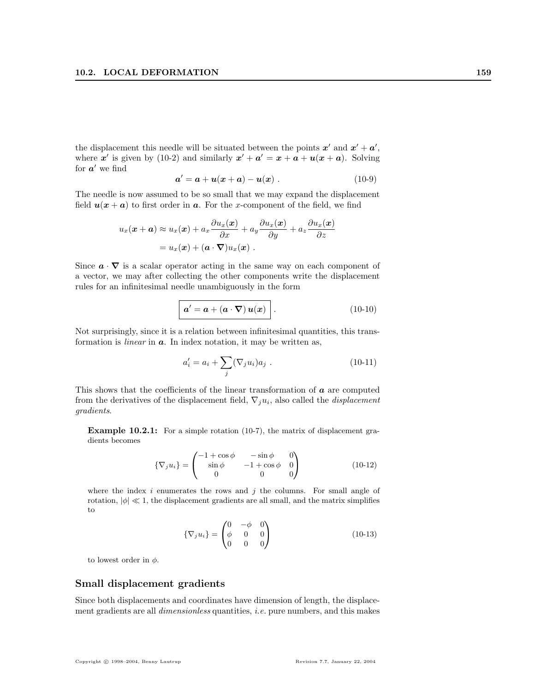the displacement this needle will be situated between the points  $x'$  and  $x' + a'$ , where x' is given by (10-2) and similarly  $x' + a' = x + a + u(x + a)$ . Solving for  $a'$  we find

$$
a' = a + u(x + a) - u(x) . \t(10-9)
$$

The needle is now assumed to be so small that we may expand the displacement field  $u(x + a)$  to first order in a. For the x-component of the field, we find

$$
u_x(\boldsymbol{x} + \boldsymbol{a}) \approx u_x(\boldsymbol{x}) + a_x \frac{\partial u_x(\boldsymbol{x})}{\partial x} + a_y \frac{\partial u_x(\boldsymbol{x})}{\partial y} + a_z \frac{\partial u_x(\boldsymbol{x})}{\partial z}
$$
  
=  $u_x(\boldsymbol{x}) + (\boldsymbol{a} \cdot \nabla) u_x(\boldsymbol{x})$ .

Since  $\mathbf{a} \cdot \nabla$  is a scalar operator acting in the same way on each component of a vector, we may after collecting the other components write the displacement rules for an infinitesimal needle unambiguously in the form

$$
\mathbf{a}' = \mathbf{a} + (\mathbf{a} \cdot \nabla) \mathbf{u}(\mathbf{x})
$$
 (10-10)

Not surprisingly, since it is a relation between infinitesimal quantities, this transformation is *linear* in  $a$ . In index notation, it may be written as,

$$
a'_{i} = a_{i} + \sum_{j} (\nabla_{j} u_{i}) a_{j} . \qquad (10-11)
$$

This shows that the coefficients of the linear transformation of  $\boldsymbol{a}$  are computed from the derivatives of the displacement field,  $\nabla_j u_i$ , also called the *displacement* gradients.

Example 10.2.1: For a simple rotation (10-7), the matrix of displacement gradients becomes

$$
\{\nabla_j u_i\} = \begin{pmatrix}\n-1 + \cos \phi & -\sin \phi & 0 \\
\sin \phi & -1 + \cos \phi & 0 \\
0 & 0 & 0\n\end{pmatrix} \tag{10-12}
$$

where the index i enumerates the rows and j the columns. For small angle of rotation,  $|\phi| \ll 1$ , the displacement gradients are all small, and the matrix simplifies to

$$
\{\nabla_j u_i\} = \begin{pmatrix} 0 & -\phi & 0 \\ \phi & 0 & 0 \\ 0 & 0 & 0 \end{pmatrix}
$$
 (10-13)

to lowest order in  $\phi$ .

#### Small displacement gradients

Since both displacements and coordinates have dimension of length, the displacement gradients are all dimensionless quantities, i.e. pure numbers, and this makes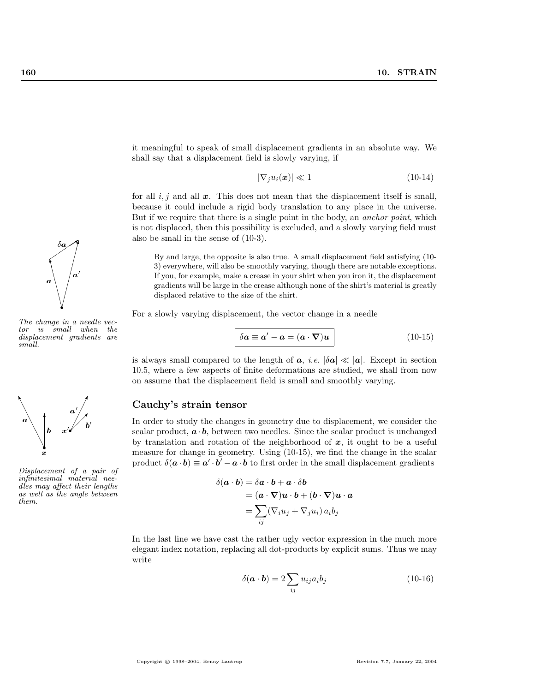∖ ∖ ∖ ∖ ❈❖ ✄  $\sqrt{2}$ ✄ ✄ ✄ ✄ ✄✗ ✑ ✑ ✑✑✸ a a  $\prime$  $\delta \bm{a}$ 

The change in a needle vector is small when the displacement gradients are small.

❈r

✄



Displacement of a pair of infinitesimal material needles may affect their lengths as well as the angle between them.

it meaningful to speak of small displacement gradients in an absolute way. We shall say that a displacement field is slowly varying, if

$$
|\nabla_j u_i(\boldsymbol{x})| \ll 1 \tag{10-14}
$$

for all  $i, j$  and all  $x$ . This does not mean that the displacement itself is small, because it could include a rigid body translation to any place in the universe. But if we require that there is a single point in the body, an anchor point, which is not displaced, then this possibility is excluded, and a slowly varying field must also be small in the sense of (10-3).

By and large, the opposite is also true. A small displacement field satisfying (10- 3) everywhere, will also be smoothly varying, though there are notable exceptions. If you, for example, make a crease in your shirt when you iron it, the displacement gradients will be large in the crease although none of the shirt's material is greatly displaced relative to the size of the shirt.

For a slowly varying displacement, the vector change in a needle

$$
\delta a \equiv a' - a = (a \cdot \nabla)u \qquad (10-15)
$$

is always small compared to the length of  $a, i.e. |\delta a| \ll |a|$ . Except in section 10.5, where a few aspects of finite deformations are studied, we shall from now on assume that the displacement field is small and smoothly varying.

#### Cauchy's strain tensor

In order to study the changes in geometry due to displacement, we consider the scalar product,  $\boldsymbol{a} \cdot \boldsymbol{b}$ , between two needles. Since the scalar product is unchanged by translation and rotation of the neighborhood of  $x$ , it ought to be a useful measure for change in geometry. Using (10-15), we find the change in the scalar product  $\delta(\mathbf{a} \cdot \mathbf{b}) \equiv \mathbf{a}' \cdot \mathbf{b}' - \mathbf{a} \cdot \mathbf{b}$  to first order in the small displacement gradients

$$
\begin{aligned} \delta(\boldsymbol{a} \cdot \boldsymbol{b}) &= \delta \boldsymbol{a} \cdot \boldsymbol{b} + \boldsymbol{a} \cdot \delta \boldsymbol{b} \\ &= (\boldsymbol{a} \cdot \boldsymbol{\nabla}) \boldsymbol{u} \cdot \boldsymbol{b} + (\boldsymbol{b} \cdot \boldsymbol{\nabla}) \boldsymbol{u} \cdot \boldsymbol{a} \\ &= \sum_{ij} (\nabla_i u_j + \nabla_j u_i) \, a_i b_j \end{aligned}
$$

In the last line we have cast the rather ugly vector expression in the much more elegant index notation, replacing all dot-products by explicit sums. Thus we may write

$$
\delta(\mathbf{a} \cdot \mathbf{b}) = 2 \sum_{ij} u_{ij} a_i b_j \tag{10-16}
$$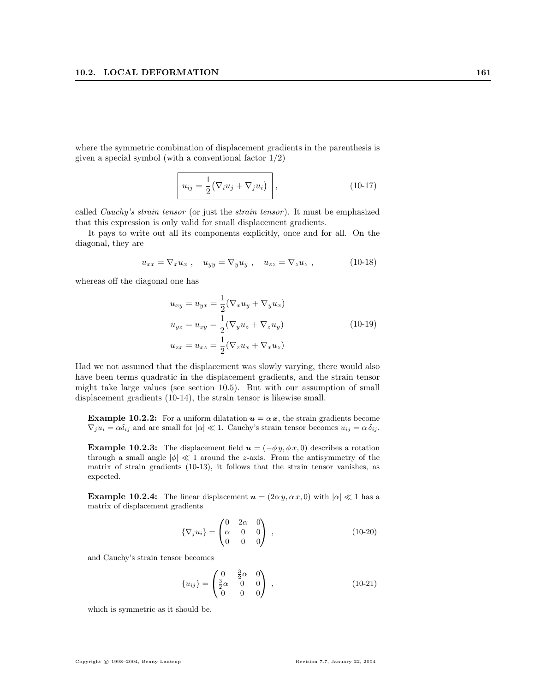where the symmetric combination of displacement gradients in the parenthesis is given a special symbol (with a conventional factor  $1/2$ )

$$
u_{ij} = \frac{1}{2} (\nabla_i u_j + \nabla_j u_i) \bigg|, \qquad (10-17)
$$

called Cauchy's strain tensor (or just the strain tensor ). It must be emphasized that this expression is only valid for small displacement gradients.

It pays to write out all its components explicitly, once and for all. On the diagonal, they are

$$
u_{xx} = \nabla_x u_x , \quad u_{yy} = \nabla_y u_y , \quad u_{zz} = \nabla_z u_z , \tag{10-18}
$$

whereas off the diagonal one has

$$
u_{xy} = u_{yx} = \frac{1}{2} (\nabla_x u_y + \nabla_y u_x)
$$
  
\n
$$
u_{yz} = u_{zy} = \frac{1}{2} (\nabla_y u_z + \nabla_z u_y)
$$
  
\n
$$
u_{zx} = u_{xz} = \frac{1}{2} (\nabla_z u_x + \nabla_x u_z)
$$
\n(10-19)

Had we not assumed that the displacement was slowly varying, there would also have been terms quadratic in the displacement gradients, and the strain tensor might take large values (see section 10.5). But with our assumption of small displacement gradients (10-14), the strain tensor is likewise small.

**Example 10.2.2:** For a uniform dilatation  $u = \alpha x$ , the strain gradients become  $\nabla_j u_i = \alpha \delta_{ij}$  and are small for  $|\alpha| \ll 1$ . Cauchy's strain tensor becomes  $u_{ij} = \alpha \delta_{ij}$ .

**Example 10.2.3:** The displacement field  $u = (-\phi y, \phi x, 0)$  describes a rotation through a small angle  $|\phi| \ll 1$  around the *z*-axis. From the antisymmetry of the matrix of strain gradients (10-13), it follows that the strain tensor vanishes, as expected.

**Example 10.2.4:** The linear displacement  $u = (2\alpha y, \alpha x, 0)$  with  $|\alpha| \ll 1$  has a matrix of displacement gradients

$$
\{\nabla_j u_i\} = \begin{pmatrix} 0 & 2\alpha & 0 \\ \alpha & 0 & 0 \\ 0 & 0 & 0 \end{pmatrix} , \qquad (10-20)
$$

and Cauchy's strain tensor becomes

$$
\{u_{ij}\} = \begin{pmatrix} 0 & \frac{3}{2}\alpha & 0 \\ \frac{3}{2}\alpha & 0 & 0 \\ 0 & 0 & 0 \end{pmatrix} , \qquad (10-21)
$$

which is symmetric as it should be.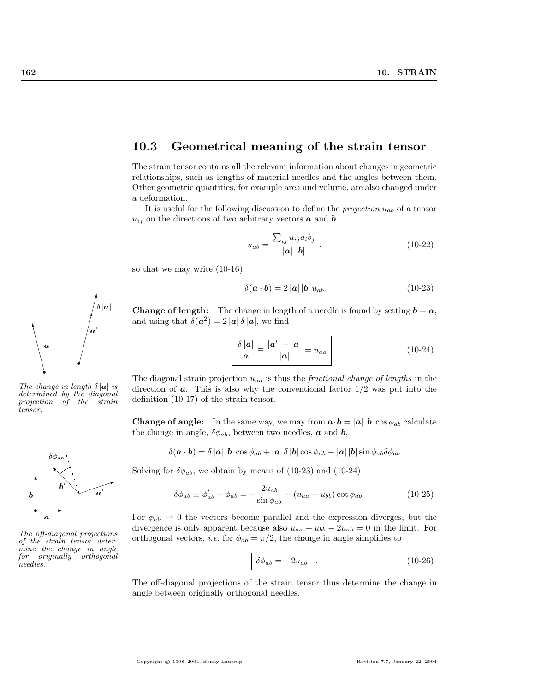## 10.3 Geometrical meaning of the strain tensor

The strain tensor contains all the relevant information about changes in geometric relationships, such as lengths of material needles and the angles between them. Other geometric quantities, for example area and volume, are also changed under a deformation.

It is useful for the following discussion to define the *projection*  $u_{ab}$  of a tensor  $u_{ij}$  on the directions of two arbitrary vectors  $\boldsymbol{a}$  and  $\boldsymbol{b}$ 

$$
u_{ab} = \frac{\sum_{ij} u_{ij} a_i b_j}{|\mathbf{a}| |\mathbf{b}|} \ . \tag{10-22}
$$

so that we may write (10-16)

$$
\delta(\mathbf{a} \cdot \mathbf{b}) = 2 |\mathbf{a}| |\mathbf{b}| u_{ab} \tag{10-23}
$$

**Change of length:** The change in length of a needle is found by setting  $\mathbf{b} = \mathbf{a}$ , and using that  $\delta(\mathbf{a}^2) = 2 |\mathbf{a}| \delta |\mathbf{a}|$ , we find

$$
\frac{\delta |\mathbf{a}|}{|\mathbf{a}|} \equiv \frac{|\mathbf{a}'| - |\mathbf{a}|}{|\mathbf{a}|} = u_{aa} \quad . \tag{10-24}
$$

The diagonal strain projection  $u_{aa}$  is thus the *fractional change of lengths* in the direction of  $\boldsymbol{a}$ . This is also why the conventional factor  $1/2$  was put into the definition (10-17) of the strain tensor.

**Change of angle:** In the same way, we may from  $\mathbf{a} \cdot \mathbf{b} = |\mathbf{a}| |\mathbf{b}| \cos \phi_{ab}$  calculate the change in angle,  $\delta \phi_{ab}$ , between two needles, **a** and **b**,

$$
\delta(\mathbf{a} \cdot \mathbf{b}) = \delta |\mathbf{a}| |\mathbf{b}| \cos \phi_{ab} + |\mathbf{a}| \delta |\mathbf{b}| \cos \phi_{ab} - |\mathbf{a}| |\mathbf{b}| \sin \phi_{ab} \delta \phi_{ab}
$$

Solving for  $\delta\phi_{ab}$ , we obtain by means of (10-23) and (10-24)

$$
\delta\phi_{ab} \equiv \phi'_{ab} - \phi_{ab} = -\frac{2u_{ab}}{\sin\phi_{ab}} + (u_{aa} + u_{bb})\cot\phi_{ab}
$$
 (10-25)

For  $\phi_{ab} \rightarrow 0$  the vectors become parallel and the expression diverges, but the divergence is only apparent because also  $u_{aa} + u_{bb} - 2u_{ab} = 0$  in the limit. For orthogonal vectors, *i.e.* for  $\phi_{ab} = \pi/2$ , the change in angle simplifies to

$$
\delta\phi_{ab} = -2u_{ab} \quad . \tag{10-26}
$$

The off-diagonal projections of the strain tensor thus determine the change in angle between originally orthogonal needles.



✄  $\sqrt{2}$ ✄ ✄ ✄ ✄ ✄✗ q

a  $\overline{a}$ 

 $\delta\left|\boldsymbol{a}\right|$ 

∖ ∖ ∖ ❈❖

a



The off-diagonal projections of the strain tensor determine the change in angle for originally orthogonal needles.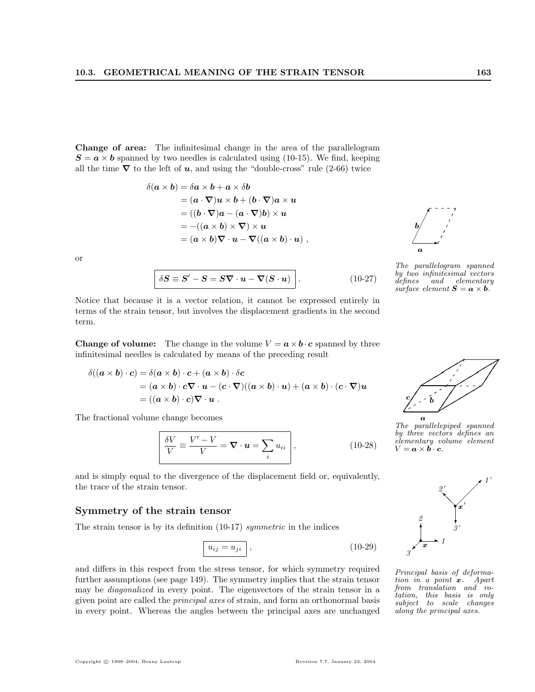Change of area: The infinitesimal change in the area of the parallelogram  $S = a \times b$  spanned by two needles is calculated using (10-15). We find, keeping all the time  $\nabla$  to the left of **u**, and using the "double-cross" rule (2-66) twice

$$
\delta(\mathbf{a} \times \mathbf{b}) = \delta \mathbf{a} \times \mathbf{b} + \mathbf{a} \times \delta \mathbf{b}
$$
  
=  $(\mathbf{a} \cdot \nabla)\mathbf{u} \times \mathbf{b} + (\mathbf{b} \cdot \nabla)\mathbf{a} \times \mathbf{u}$   
=  $((\mathbf{b} \cdot \nabla)\mathbf{a} - (\mathbf{a} \cdot \nabla)\mathbf{b}) \times \mathbf{u}$   
=  $-((\mathbf{a} \times \mathbf{b}) \times \nabla) \times \mathbf{u}$   
=  $(\mathbf{a} \times \mathbf{b})\nabla \cdot \mathbf{u} - \nabla((\mathbf{a} \times \mathbf{b}) \cdot \mathbf{u})$ ,

or

$$
\delta S \equiv S' - S = S \nabla \cdot \boldsymbol{u} - \nabla (S \cdot \boldsymbol{u}) \qquad (10-27)
$$

Notice that because it is a vector relation, it cannot be expressed entirely in terms of the strain tensor, but involves the displacement gradients in the second term.

**Change of volume:** The change in the volume  $V = \mathbf{a} \times \mathbf{b} \cdot \mathbf{c}$  spanned by three infinitesimal needles is calculated by means of the preceding result

$$
\delta((\mathbf{a} \times \mathbf{b}) \cdot \mathbf{c}) = \delta(\mathbf{a} \times \mathbf{b}) \cdot \mathbf{c} + (\mathbf{a} \times \mathbf{b}) \cdot \delta \mathbf{c}
$$
  
=  $(\mathbf{a} \times \mathbf{b}) \cdot \mathbf{c} \nabla \cdot \mathbf{u} - (\mathbf{c} \cdot \nabla)((\mathbf{a} \times \mathbf{b}) \cdot \mathbf{u}) + (\mathbf{a} \times \mathbf{b}) \cdot (\mathbf{c} \cdot \nabla)\mathbf{u}$   
=  $((\mathbf{a} \times \mathbf{b}) \cdot \mathbf{c}) \nabla \cdot \mathbf{u}$ .

The fractional volume change becomes

$$
\overline{\frac{\delta V}{V}} \equiv \frac{V' - V}{V} = \nabla \cdot \boldsymbol{u} = \sum_{i} u_{ii}, \qquad (10-28)
$$

and is simply equal to the divergence of the displacement field or, equivalently, the trace of the strain tensor.

#### Symmetry of the strain tensor

The strain tensor is by its definition (10-17) symmetric in the indices

$$
u_{ij} = u_{ji} \,, \tag{10-29}
$$

and differs in this respect from the stress tensor, for which symmetry required further assumptions (see page 149). The symmetry implies that the strain tensor may be diagonalized in every point. The eigenvectors of the strain tensor in a given point are called the principal axes of strain, and form an orthonormal basis in every point. Whereas the angles between the principal axes are unchanged

$$
\begin{array}{c}\n b \\
 \hline\n a\n \end{array}
$$
\nThe parallelogram spanned  
\n
$$
b_1
$$
 two infinitesimal vectors

 $\prime$ 

by two infinitesimal vectors<br>defines and elementary  $and$  elementary surface element  $S = a \times b$ .



The parallelepiped spanned by three vectors defines an  $e\check{l}$ ementary volume element  $V = a \times b \cdot c$ .



Principal basis of deformation in a point  $x$ . Apart from translation and rotation, this basis is only subject to scale changes along the principal axes.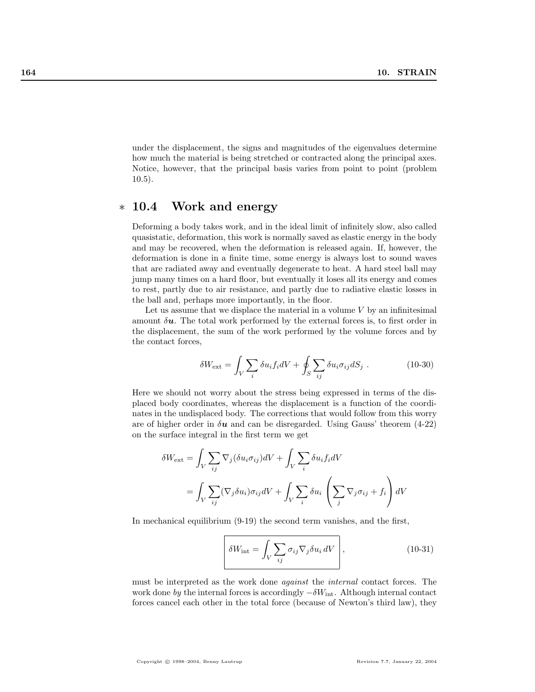under the displacement, the signs and magnitudes of the eigenvalues determine how much the material is being stretched or contracted along the principal axes. Notice, however, that the principal basis varies from point to point (problem 10.5).

# ∗ 10.4 Work and energy

Deforming a body takes work, and in the ideal limit of infinitely slow, also called quasistatic, deformation, this work is normally saved as elastic energy in the body and may be recovered, when the deformation is released again. If, however, the deformation is done in a finite time, some energy is always lost to sound waves that are radiated away and eventually degenerate to heat. A hard steel ball may jump many times on a hard floor, but eventually it loses all its energy and comes to rest, partly due to air resistance, and partly due to radiative elastic losses in the ball and, perhaps more importantly, in the floor.

Let us assume that we displace the material in a volume  $V$  by an infinitesimal amount  $\delta u$ . The total work performed by the external forces is, to first order in the displacement, the sum of the work performed by the volume forces and by the contact forces,

$$
\delta W_{\text{ext}} = \int_{V} \sum_{i} \delta u_{i} f_{i} dV + \oint_{S} \sum_{ij} \delta u_{i} \sigma_{ij} dS_{j} . \qquad (10-30)
$$

Here we should not worry about the stress being expressed in terms of the displaced body coordinates, whereas the displacement is a function of the coordinates in the undisplaced body. The corrections that would follow from this worry are of higher order in  $\delta u$  and can be disregarded. Using Gauss' theorem (4-22) on the surface integral in the first term we get

$$
\delta W_{\text{ext}} = \int_{V} \sum_{ij} \nabla_{j} (\delta u_{i} \sigma_{ij}) dV + \int_{V} \sum_{i} \delta u_{i} f_{i} dV
$$

$$
= \int_{V} \sum_{ij} (\nabla_{j} \delta u_{i}) \sigma_{ij} dV + \int_{V} \sum_{i} \delta u_{i} \left( \sum_{j} \nabla_{j} \sigma_{ij} + f_{i} \right) dV
$$

In mechanical equilibrium (9-19) the second term vanishes, and the first,

$$
\delta W_{\rm int} = \int_{V} \sum_{ij} \sigma_{ij} \nabla_{j} \delta u_{i} dV, \qquad (10-31)
$$

must be interpreted as the work done against the internal contact forces. The work done by the internal forces is accordingly  $-\delta W_{\text{int}}$ . Although internal contact forces cancel each other in the total force (because of Newton's third law), they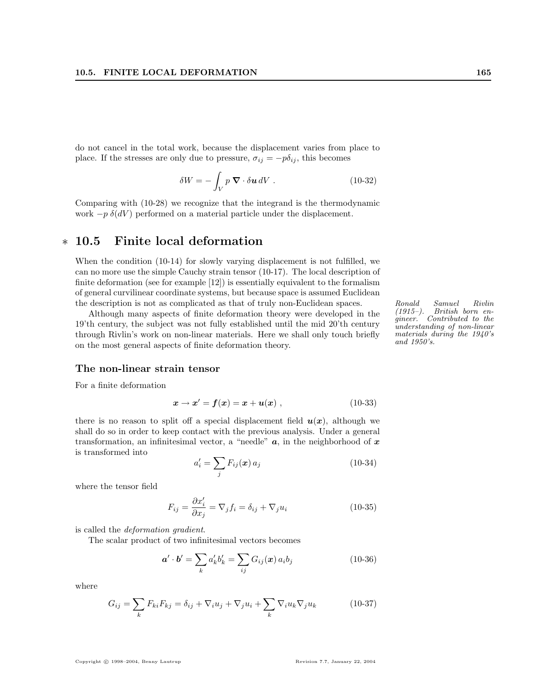do not cancel in the total work, because the displacement varies from place to place. If the stresses are only due to pressure,  $\sigma_{ij} = -p\delta_{ij}$ , this becomes

$$
\delta W = -\int_{V} p \, \mathbf{\nabla} \cdot \delta \mathbf{u} \, dV \,. \tag{10-32}
$$

Comparing with (10-28) we recognize that the integrand is the thermodynamic work  $-p \delta(dV)$  performed on a material particle under the displacement.

# ∗ 10.5 Finite local deformation

When the condition (10-14) for slowly varying displacement is not fulfilled, we can no more use the simple Cauchy strain tensor (10-17). The local description of finite deformation (see for example [12]) is essentially equivalent to the formalism of general curvilinear coordinate systems, but because space is assumed Euclidean the description is not as complicated as that of truly non-Euclidean spaces. Ronald Samuel Rivlin<br>Although many aspects of finite deformation theory were developed in the (1915–). British born en-

Although many aspects of finite deformation theory were developed in the 19'th century, the subject was not fully established until the mid 20'th century through Rivlin's work on non-linear materials. Here we shall only touch briefly on the most general aspects of finite deformation theory.

British born engineer. Contributed to the understanding of non-linear materials during the 1940's and 1950's.

#### The non-linear strain tensor

For a finite deformation

$$
x \to x' = f(x) = x + u(x) , \qquad (10-33)
$$

there is no reason to split off a special displacement field  $u(x)$ , although we shall do so in order to keep contact with the previous analysis. Under a general transformation, an infinitesimal vector, a "needle"  $a$ , in the neighborhood of  $x$ is transformed into  $\overline{\phantom{a}}$ 

$$
a_i' = \sum_j F_{ij}(\boldsymbol{x}) a_j \tag{10-34}
$$

where the tensor field

$$
F_{ij} = \frac{\partial x'_i}{\partial x_j} = \nabla_j f_i = \delta_{ij} + \nabla_j u_i
$$
\n(10-35)

is called the deformation gradient.

The scalar product of two infinitesimal vectors becomes

$$
\mathbf{a}' \cdot \mathbf{b}' = \sum_{k} a'_{k} b'_{k} = \sum_{ij} G_{ij}(\mathbf{x}) a_{i} b_{j}
$$
 (10-36)

where

$$
G_{ij} = \sum_{k} F_{ki} F_{kj} = \delta_{ij} + \nabla_i u_j + \nabla_j u_i + \sum_{k} \nabla_i u_k \nabla_j u_k \tag{10-37}
$$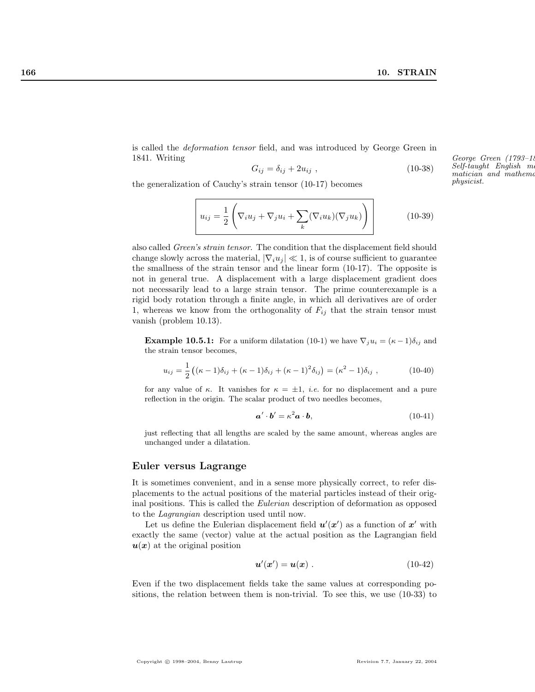$Self$ -taught English m matician and mathema

physicist.

is called the deformation tensor field, and was introduced by George Green in 1841. Writing George Green (1793–1841).

$$
G_{ij} = \delta_{ij} + 2u_{ij} \t\t(10-38)
$$

the generalization of Cauchy's strain tensor (10-17) becomes

$$
u_{ij} = \frac{1}{2} \left( \nabla_i u_j + \nabla_j u_i + \sum_k (\nabla_i u_k)(\nabla_j u_k) \right)
$$
 (10-39)

also called Green's strain tensor. The condition that the displacement field should change slowly across the material,  $|\nabla_i u_i| \ll 1$ , is of course sufficient to guarantee the smallness of the strain tensor and the linear form (10-17). The opposite is not in general true. A displacement with a large displacement gradient does not necessarily lead to a large strain tensor. The prime counterexample is a rigid body rotation through a finite angle, in which all derivatives are of order 1, whereas we know from the orthogonality of  $F_{ij}$  that the strain tensor must vanish (problem 10.13).

**Example 10.5.1:** For a uniform dilatation (10-1) we have  $\nabla_j u_i = (\kappa - 1)\delta_{ij}$  and the strain tensor becomes,

$$
u_{ij} = \frac{1}{2} ((\kappa - 1)\delta_{ij} + (\kappa - 1)\delta_{ij} + (\kappa - 1)^2 \delta_{ij}) = (\kappa^2 - 1)\delta_{ij}, \qquad (10-40)
$$

for any value of  $\kappa$ . It vanishes for  $\kappa = \pm 1$ , *i.e.* for no displacement and a pure reflection in the origin. The scalar product of two needles becomes,

$$
\mathbf{a}' \cdot \mathbf{b}' = \kappa^2 \mathbf{a} \cdot \mathbf{b},\tag{10-41}
$$

just reflecting that all lengths are scaled by the same amount, whereas angles are unchanged under a dilatation.

#### Euler versus Lagrange

It is sometimes convenient, and in a sense more physically correct, to refer displacements to the actual positions of the material particles instead of their original positions. This is called the Eulerian description of deformation as opposed to the Lagrangian description used until now.

Let us define the Eulerian displacement field  $u'(x')$  as a function of x' with exactly the same (vector) value at the actual position as the Lagrangian field  $u(x)$  at the original position

$$
\mathbf{u}'(\mathbf{x}') = \mathbf{u}(\mathbf{x}) \tag{10-42}
$$

Even if the two displacement fields take the same values at corresponding positions, the relation between them is non-trivial. To see this, we use (10-33) to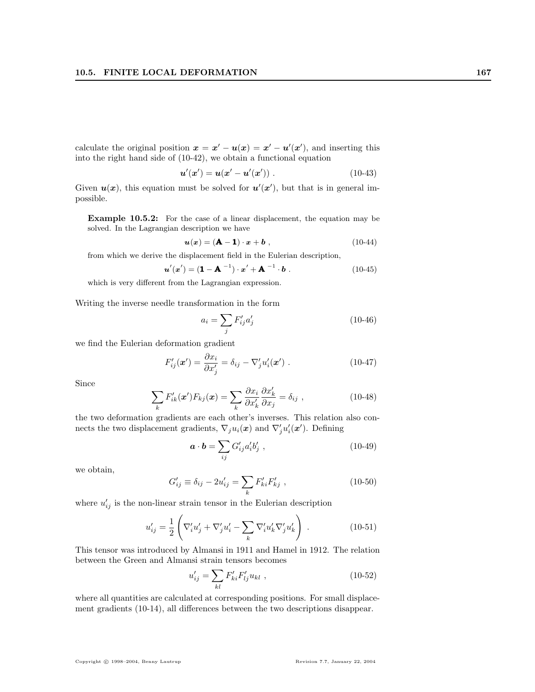calculate the original position  $x = x' - u(x) = x' - u'(x')$ , and inserting this into the right hand side of (10-42), we obtain a functional equation

$$
u'(x') = u(x' - u'(x')) . \t(10-43)
$$

Given  $u(x)$ , this equation must be solved for  $u'(x')$ , but that is in general impossible.

Example 10.5.2: For the case of a linear displacement, the equation may be solved. In the Lagrangian description we have

$$
\mathbf{u}(\mathbf{x}) = (\mathbf{A} - \mathbf{1}) \cdot \mathbf{x} + \mathbf{b} \tag{10-44}
$$

from which we derive the displacement field in the Eulerian description,

$$
u'(x') = (1 - A^{-1}) \cdot x' + A^{-1} \cdot b . \qquad (10-45)
$$

which is very different from the Lagrangian expression.

Writing the inverse needle transformation in the form

$$
a_i = \sum_j F'_{ij} a'_j \tag{10-46}
$$

we find the Eulerian deformation gradient

$$
F'_{ij}(\mathbf{x}') = \frac{\partial x_i}{\partial x'_j} = \delta_{ij} - \nabla'_j u'_i(\mathbf{x}') . \qquad (10-47)
$$

Since

$$
\sum_{k} F'_{ik}(\mathbf{x}') F_{kj}(\mathbf{x}) = \sum_{k} \frac{\partial x_i}{\partial x'_k} \frac{\partial x'_k}{\partial x_j} = \delta_{ij} , \qquad (10-48)
$$

the two deformation gradients are each other's inverses. This relation also connects the two displacement gradients,  $\nabla_j u_i(\boldsymbol{x})$  and  $\nabla'_j u'_i(\boldsymbol{x}')$ . Defining

$$
\mathbf{a} \cdot \mathbf{b} = \sum_{ij} G'_{ij} a'_i b'_j , \qquad (10-49)
$$

we obtain,

$$
G'_{ij} \equiv \delta_{ij} - 2u'_{ij} = \sum_{k} F'_{ki} F'_{kj} , \qquad (10-50)
$$

where  $u'_{ij}$  is the non-linear strain tensor in the Eulerian description

$$
u'_{ij} = \frac{1}{2} \left( \nabla'_i u'_j + \nabla'_j u'_i - \sum_k \nabla'_i u'_k \nabla'_j u'_k \right) . \tag{10-51}
$$

This tensor was introduced by Almansi in 1911 and Hamel in 1912. The relation between the Green and Almansi strain tensors becomes

$$
u'_{ij} = \sum_{kl} F'_{ki} F'_{lj} u_{kl} , \qquad (10-52)
$$

where all quantities are calculated at corresponding positions. For small displacement gradients (10-14), all differences between the two descriptions disappear.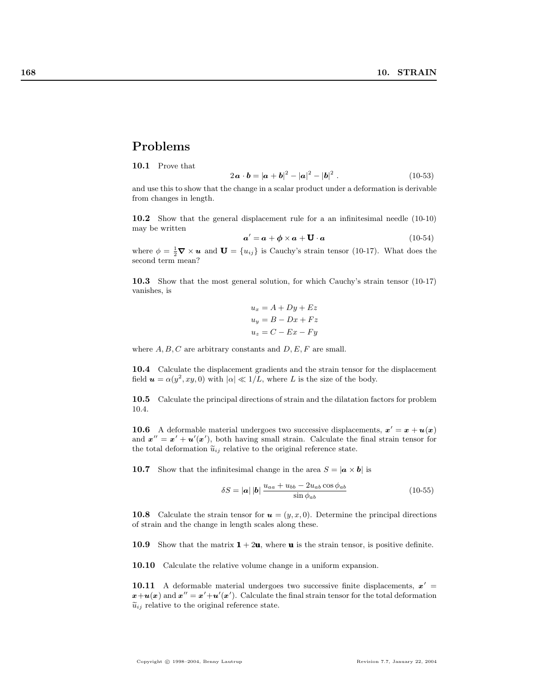## Problems

10.1 Prove that

$$
2\mathbf{a} \cdot \mathbf{b} = |\mathbf{a} + \mathbf{b}|^2 - |\mathbf{a}|^2 - |\mathbf{b}|^2. \tag{10-53}
$$

and use this to show that the change in a scalar product under a deformation is derivable from changes in length.

10.2 Show that the general displacement rule for a an infinitesimal needle (10-10) may be written

$$
a' = a + \phi \times a + \mathbf{U} \cdot a \tag{10-54}
$$

where  $\phi = \frac{1}{2}\nabla \times \boldsymbol{u}$  and  $\boldsymbol{U} = \{u_{ij}\}\$ is Cauchy's strain tensor (10-17). What does the second term mean?

10.3 Show that the most general solution, for which Cauchy's strain tensor (10-17) vanishes, is

$$
u_x = A + Dy + Ez
$$
  

$$
u_y = B - Dx + Fz
$$
  

$$
u_z = C - Ex - Fy
$$

where  $A, B, C$  are arbitrary constants and  $D, E, F$  are small.

10.4 Calculate the displacement gradients and the strain tensor for the displacement field  $u = \alpha(y^2, xy, 0)$  with  $|\alpha| \ll 1/L$ , where L is the size of the body.

10.5 Calculate the principal directions of strain and the dilatation factors for problem 10.4.

**10.6** A deformable material undergoes two successive displacements,  $x' = x + u(x)$ and  $x'' = x' + u'(x')$ , both having small strain. Calculate the final strain tensor for the total deformation  $\tilde{u}_{ij}$  relative to the original reference state.

10.7 Show that the infinitesimal change in the area  $S = |\mathbf{a} \times \mathbf{b}|$  is

$$
\delta S = |\mathbf{a}| |\mathbf{b}| \frac{u_{aa} + u_{bb} - 2u_{ab} \cos \phi_{ab}}{\sin \phi_{ab}}
$$
 (10-55)

10.8 Calculate the strain tensor for  $u = (y, x, 0)$ . Determine the principal directions of strain and the change in length scales along these.

10.9 Show that the matrix  $1 + 2u$ , where u is the strain tensor, is positive definite.

10.10 Calculate the relative volume change in a uniform expansion.

10.11 A deformable material undergoes two successive finite displacements,  $x'$  =  $\mathbf{x} + \mathbf{u}(\mathbf{x})$  and  $\mathbf{x}'' = \mathbf{x}' + \mathbf{u}'(\mathbf{x}')$ . Calculate the final strain tensor for the total deformation  $\tilde{u}_{ij}$  relative to the original reference state.